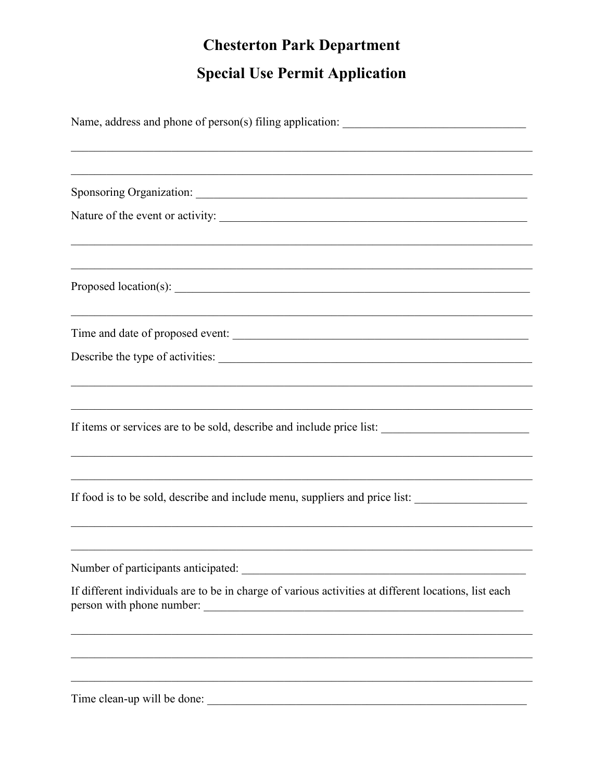## **Chesterton Park Department**

## **Special Use Permit Application**

| <u> 1989 - 1989 - 1989 - 1989 - 1989 - 1989 - 1989 - 1989 - 1989 - 1989 - 1989 - 1989 - 1989 - 1989 - 1989 - 19</u>                                             |  |  |  |
|-----------------------------------------------------------------------------------------------------------------------------------------------------------------|--|--|--|
|                                                                                                                                                                 |  |  |  |
|                                                                                                                                                                 |  |  |  |
|                                                                                                                                                                 |  |  |  |
| Time and date of proposed event:                                                                                                                                |  |  |  |
| Describe the type of activities:                                                                                                                                |  |  |  |
| If items or services are to be sold, describe and include price list:                                                                                           |  |  |  |
| If food is to be sold, describe and include menu, suppliers and price list:<br>,我们也不能在这里的时候,我们也不能在这里的时候,我们也不能会在这里的时候,我们也不能会在这里的时候,我们也不能会在这里的时候,我们也不能会在这里的时候,我们也 |  |  |  |
| Number of participants anticipated:                                                                                                                             |  |  |  |
| If different individuals are to be in charge of various activities at different locations, list each                                                            |  |  |  |
|                                                                                                                                                                 |  |  |  |
|                                                                                                                                                                 |  |  |  |
| Time clean-up will be done:                                                                                                                                     |  |  |  |